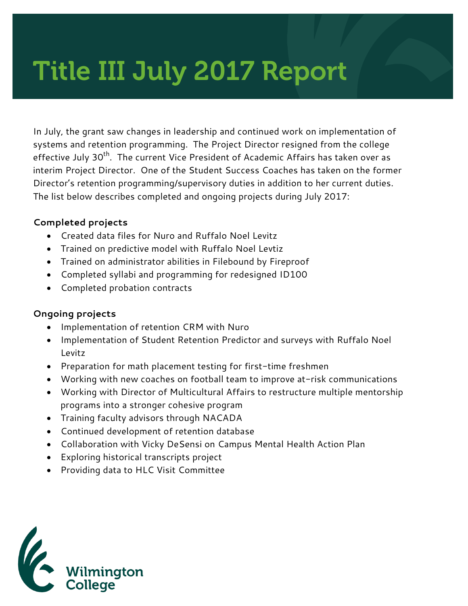# Title III July 2017 Report

In July, the grant saw changes in leadership and continued work on implementation of systems and retention programming. The Project Director resigned from the college effective July 30<sup>th</sup>. The current Vice President of Academic Affairs has taken over as interim Project Director. One of the Student Success Coaches has taken on the former Director's retention programming/supervisory duties in addition to her current duties. The list below describes completed and ongoing projects during July 2017:

#### **Completed projects**

- Created data files for Nuro and Ruffalo Noel Levitz
- Trained on predictive model with Ruffalo Noel Levtiz
- Trained on administrator abilities in Filebound by Fireproof
- Completed syllabi and programming for redesigned ID100
- Completed probation contracts

#### **Ongoing projects**

- Implementation of retention CRM with Nuro
- Implementation of Student Retention Predictor and surveys with Ruffalo Noel Levitz
- Preparation for math placement testing for first-time freshmen
- Working with new coaches on football team to improve at-risk communications
- Working with Director of Multicultural Affairs to restructure multiple mentorship programs into a stronger cohesive program
- Training faculty advisors through NACADA
- Continued development of retention database
- Collaboration with Vicky DeSensi on Campus Mental Health Action Plan
- Exploring historical transcripts project
- Providing data to HLC Visit Committee